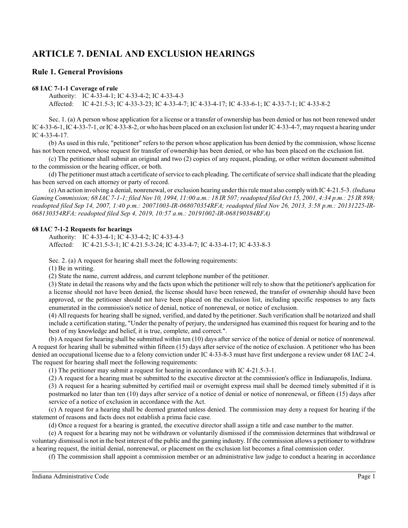# **ARTICLE 7. DENIAL AND EXCLUSION HEARINGS**

# **Rule 1. General Provisions**

# **68 IAC 7-1-1 Coverage of rule**

Authority: IC 4-33-4-1; IC 4-33-4-2; IC 4-33-4-3 Affected: IC 4-21.5-3; IC 4-33-3-23; IC 4-33-4-7; IC 4-33-4-17; IC 4-33-6-1; IC 4-33-7-1; IC 4-33-8-2

Sec. 1. (a) A person whose application for a license or a transfer of ownership has been denied or has not been renewed under IC 4-33-6-1, IC 4-33-7-1, or IC 4-33-8-2, or who has been placed on an exclusion list under IC 4-33-4-7, may request a hearing under IC 4-33-4-17.

(b) As used in this rule, "petitioner" refers to the person whose application has been denied by the commission, whose license has not been renewed, whose request for transfer of ownership has been denied, or who has been placed on the exclusion list.

(c) The petitioner shall submit an original and two (2) copies of any request, pleading, or other written document submitted to the commission or the hearing officer, or both.

(d) The petitioner must attach a certificate ofservice to each pleading. The certificate ofservice shall indicate that the pleading has been served on each attorney or party of record.

(e) An action involving a denial, nonrenewal, or exclusion hearing under this rule must also comply with IC 4-21.5-3. *(Indiana Gaming Commission; 68 IAC 7-1-1; filed Nov 10, 1994, 11:00 a.m.: 18 IR 507; readopted filed Oct 15, 2001, 4:34 p.m.: 25 IR 898; readopted filed Sep 14, 2007, 1:40 p.m.: 20071003-IR-068070354RFA; readopted filed Nov 26, 2013, 3:58 p.m.: 20131225-IR-068130354RFA; readopted filed Sep 4, 2019, 10:57 a.m.: 20191002-IR-068190384RFA)*

# **68 IAC 7-1-2 Requests for hearings**

Authority: IC 4-33-4-1; IC 4-33-4-2; IC 4-33-4-3 Affected: IC 4-21.5-3-1; IC 4-21.5-3-24; IC 4-33-4-7; IC 4-33-4-17; IC 4-33-8-3

Sec. 2. (a) A request for hearing shall meet the following requirements:

(1) Be in writing.

(2) State the name, current address, and current telephone number of the petitioner.

(3) State in detail the reasons why and the facts upon which the petitioner will rely to show that the petitioner's application for a license should not have been denied, the license should have been renewed, the transfer of ownership should have been approved, or the petitioner should not have been placed on the exclusion list, including specific responses to any facts enumerated in the commission's notice of denial, notice of nonrenewal, or notice of exclusion.

(4) All requests for hearing shall be signed, verified, and dated by the petitioner. Such verification shall be notarized and shall include a certification stating, "Under the penalty of perjury, the undersigned has examined this request for hearing and to the best of my knowledge and belief, it is true, complete, and correct.".

(b) A request for hearing shall be submitted within ten (10) days after service of the notice of denial or notice of nonrenewal. A request for hearing shall be submitted within fifteen (15) days after service of the notice of exclusion. A petitioner who has been denied an occupational license due to a felony conviction under IC 4-33-8-3 must have first undergone a review under 68 IAC 2-4. The request for hearing shall meet the following requirements:

(1) The petitioner may submit a request for hearing in accordance with IC 4-21.5-3-1.

(2) A request for a hearing must be submitted to the executive director at the commission's office in Indianapolis, Indiana.

(3) A request for a hearing submitted by certified mail or overnight express mail shall be deemed timely submitted if it is postmarked no later than ten (10) days after service of a notice of denial or notice of nonrenewal, or fifteen (15) days after service of a notice of exclusion in accordance with the Act.

(c) A request for a hearing shall be deemed granted unless denied. The commission may deny a request for hearing if the statement of reasons and facts does not establish a prima facie case.

(d) Once a request for a hearing is granted, the executive director shall assign a title and case number to the matter.

(e) A request for a hearing may not be withdrawn or voluntarily dismissed if the commission determines that withdrawal or voluntary dismissal is not in the best interest of the public and the gaming industry. If the commission allows a petitioner to withdraw a hearing request, the initial denial, nonrenewal, or placement on the exclusion list becomes a final commission order.

(f) The commission shall appoint a commission member or an administrative law judge to conduct a hearing in accordance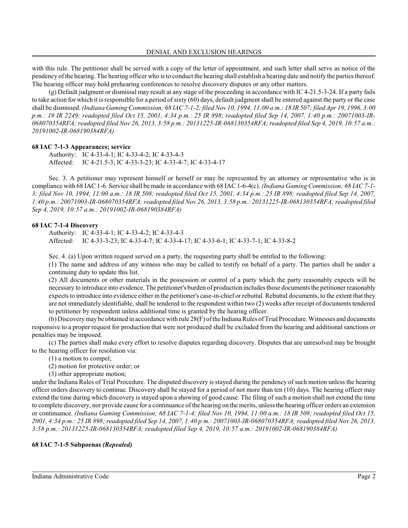with this rule. The petitioner shall be served with a copy of the letter of appointment, and such letter shall serve as notice of the pendency ofthe hearing. The hearing officer who is to conduct the hearing shall establish a hearing date and notify the parties thereof. The hearing officer may hold prehearing conferences to resolve discovery disputes or any other matters.

(g) Default judgment or dismissal may result at any stage of the proceeding in accordance with IC 4-21.5-3-24. If a party fails to take action for which it is responsible for a period ofsixty (60) days, default judgment shall be entered against the party or the case shall be dismissed. *(Indiana Gaming Commission; 68 IAC 7-1-2; filed Nov 10, 1994, 11:00 a.m.: 18 IR 507; filed Apr 19, 1996, 3:00 p.m.: 19 IR 2249; readopted filed Oct 15, 2001, 4:34 p.m.: 25 IR 898; readopted filed Sep 14, 2007, 1:40 p.m.: 20071003-IR-068070354RFA; readopted filed Nov 26, 2013, 3:58 p.m.: 20131225-IR-068130354RFA; readopted filed Sep 4, 2019, 10:57 a.m.: 20191002-IR-068190384RFA)*

# **68 IAC 7-1-3 Appearances; service**

Authority: IC 4-33-4-1; IC 4-33-4-2; IC 4-33-4-3 Affected: IC 4-21.5-3; IC 4-33-3-23; IC 4-33-4-7; IC 4-33-4-17

Sec. 3. A petitioner may represent himself or herself or may be represented by an attorney or representative who is in compliance with 68 IAC 1-6. Service shall be made in accordance with 68 IAC 1-6-4(c). *(Indiana Gaming Commission; 68 IAC 7-1- 3; filed Nov 10, 1994, 11:00 a.m.: 18 IR 508; readopted filed Oct 15, 2001, 4:34 p.m.: 25 IR 898; readopted filed Sep 14, 2007, 1:40 p.m.: 20071003-IR-068070354RFA; readopted filed Nov 26, 2013, 3:58 p.m.: 20131225-IR-068130354RFA; readopted filed Sep 4, 2019, 10:57 a.m.: 20191002-IR-068190384RFA)*

### **68 IAC 7-1-4 Discovery**

Authority: IC 4-33-4-1; IC 4-33-4-2; IC 4-33-4-3 Affected: IC 4-33-3-23; IC 4-33-4-7; IC 4-33-4-17; IC 4-33-6-1; IC 4-33-7-1; IC 4-33-8-2

Sec. 4. (a) Upon written request served on a party, the requesting party shall be entitled to the following:

(1) The name and address of any witness who may be called to testify on behalf of a party. The parties shall be under a continuing duty to update this list.

(2) All documents or other materials in the possession or control of a party which the party reasonably expects will be necessary to introduce into evidence. The petitioner's burden of production includes those documents the petitioner reasonably expects to introduce into evidence either in the petitioner's case-in-chief or rebuttal. Rebuttal documents, to the extent that they are not immediately identifiable, shall be tendered to the respondent within two (2) weeks after receipt of documents tendered to petitioner by respondent unless additional time is granted by the hearing officer.

(b) Discoverymay be obtained in accordance with rule 28(F) ofthe Indiana Rules ofTrial Procedure. Witnesses and documents responsive to a proper request for production that were not produced shall be excluded from the hearing and additional sanctions or penalties may be imposed.

(c) The parties shall make every effort to resolve disputes regarding discovery. Disputes that are unresolved may be brought to the hearing officer for resolution via:

- (1) a motion to compel;
- (2) motion for protective order; or
- (3) other appropriate motion;

under the Indiana Rules of Trial Procedure. The disputed discovery is stayed during the pendency of such motion unless the hearing officer orders discovery to continue. Discovery shall be stayed for a period of not more than ten (10) days. The hearing officer may extend the time during which discovery is stayed upon a showing of good cause. The filing of such a motion shall not extend the time to complete discovery, nor provide cause for a continuance ofthe hearing on the merits, unless the hearing officer orders an extension or continuance. *(Indiana Gaming Commission; 68 IAC 7-1-4; filed Nov 10, 1994, 11:00 a.m.: 18 IR 508; readopted filed Oct 15, 2001, 4:34 p.m.: 25 IR 898; readopted filed Sep 14, 2007, 1:40 p.m.: 20071003-IR-068070354RFA; readopted filed Nov 26, 2013, 3:58 p.m.: 20131225-IR-068130354RFA; readopted filed Sep 4, 2019, 10:57 a.m.: 20191002-IR-068190384RFA)*

# **68 IAC 7-1-5 Subpoenas** *(Repealed)*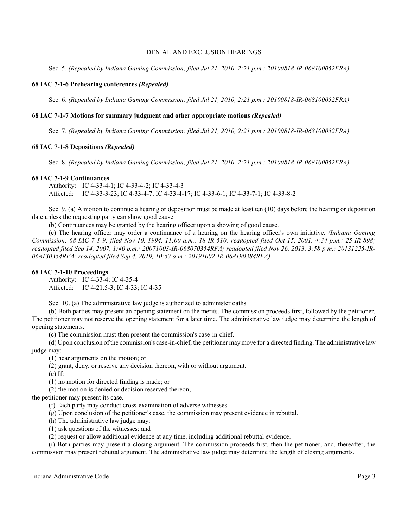Sec. 5. *(Repealed by Indiana Gaming Commission; filed Jul 21, 2010, 2:21 p.m.: 20100818-IR-068100052FRA)*

# **68 IAC 7-1-6 Prehearing conferences** *(Repealed)*

Sec. 6. *(Repealed by Indiana Gaming Commission; filed Jul 21, 2010, 2:21 p.m.: 20100818-IR-068100052FRA)*

# **68 IAC 7-1-7 Motions for summary judgment and other appropriate motions** *(Repealed)*

Sec. 7. *(Repealed by Indiana Gaming Commission; filed Jul 21, 2010, 2:21 p.m.: 20100818-IR-068100052FRA)*

# **68 IAC 7-1-8 Depositions** *(Repealed)*

Sec. 8. *(Repealed by Indiana Gaming Commission; filed Jul 21, 2010, 2:21 p.m.: 20100818-IR-068100052FRA)*

# **68 IAC 7-1-9 Continuances**

Authority: IC 4-33-4-1; IC 4-33-4-2; IC 4-33-4-3 Affected: IC 4-33-3-23; IC 4-33-4-7; IC 4-33-4-17; IC 4-33-6-1; IC 4-33-7-1; IC 4-33-8-2

Sec. 9. (a) A motion to continue a hearing or deposition must be made at least ten (10) days before the hearing or deposition date unless the requesting party can show good cause.

(b) Continuances may be granted by the hearing officer upon a showing of good cause.

(c) The hearing officer may order a continuance of a hearing on the hearing officer's own initiative. *(Indiana Gaming Commission; 68 IAC 7-1-9; filed Nov 10, 1994, 11:00 a.m.: 18 IR 510; readopted filed Oct 15, 2001, 4:34 p.m.: 25 IR 898; readopted filed Sep 14, 2007, 1:40 p.m.: 20071003-IR-068070354RFA; readopted filed Nov 26, 2013, 3:58 p.m.: 20131225-IR-068130354RFA; readopted filed Sep 4, 2019, 10:57 a.m.: 20191002-IR-068190384RFA)*

# **68 IAC 7-1-10 Proceedings**

Authority: IC 4-33-4; IC 4-35-4 Affected: IC 4-21.5-3; IC 4-33; IC 4-35

Sec. 10. (a) The administrative law judge is authorized to administer oaths.

(b) Both parties may present an opening statement on the merits. The commission proceeds first, followed by the petitioner. The petitioner may not reserve the opening statement for a later time. The administrative law judge may determine the length of opening statements.

(c) The commission must then present the commission's case-in-chief.

(d) Upon conclusion of the commission's case-in-chief, the petitioner may move for a directed finding. The administrative law judge may:

(1) hear arguments on the motion; or

(2) grant, deny, or reserve any decision thereon, with or without argument.

(e) If:

(1) no motion for directed finding is made; or

(2) the motion is denied or decision reserved thereon;

the petitioner may present its case.

(f) Each party may conduct cross-examination of adverse witnesses.

(g) Upon conclusion of the petitioner's case, the commission may present evidence in rebuttal.

(h) The administrative law judge may:

(1) ask questions of the witnesses; and

(2) request or allow additional evidence at any time, including additional rebuttal evidence.

(i) Both parties may present a closing argument. The commission proceeds first, then the petitioner, and, thereafter, the commission may present rebuttal argument. The administrative law judge may determine the length of closing arguments.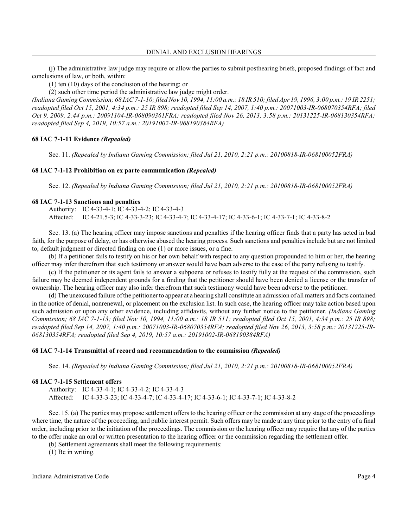(j) The administrative law judge may require or allow the parties to submit posthearing briefs, proposed findings of fact and conclusions of law, or both, within:

(1) ten (10) days of the conclusion of the hearing; or

(2) such other time period the administrative law judge might order.

*(Indiana Gaming Commission; 68 IAC 7-1-10; filed Nov 10, 1994, 11:00 a.m.: 18 IR 510; filed Apr 19, 1996, 3:00 p.m.: 19 IR 2251; readopted filed Oct 15, 2001, 4:34 p.m.: 25 IR 898; readopted filed Sep 14, 2007, 1:40 p.m.: 20071003-IR-068070354RFA; filed Oct 9, 2009, 2:44 p.m.: 20091104-IR-068090361FRA; readopted filed Nov 26, 2013, 3:58 p.m.: 20131225-IR-068130354RFA; readopted filed Sep 4, 2019, 10:57 a.m.: 20191002-IR-068190384RFA)*

# **68 IAC 7-1-11 Evidence** *(Repealed)*

Sec. 11. *(Repealed by Indiana Gaming Commission; filed Jul 21, 2010, 2:21 p.m.: 20100818-IR-068100052FRA)*

#### **68 IAC 7-1-12 Prohibition on ex parte communication** *(Repealed)*

Sec. 12. *(Repealed by Indiana Gaming Commission; filed Jul 21, 2010, 2:21 p.m.: 20100818-IR-068100052FRA)*

#### **68 IAC 7-1-13 Sanctions and penalties**

Authority: IC 4-33-4-1; IC 4-33-4-2; IC 4-33-4-3 Affected: IC 4-21.5-3; IC 4-33-3-23; IC 4-33-4-7; IC 4-33-4-17; IC 4-33-6-1; IC 4-33-7-1; IC 4-33-8-2

Sec. 13. (a) The hearing officer may impose sanctions and penalties if the hearing officer finds that a party has acted in bad faith, for the purpose of delay, or has otherwise abused the hearing process. Such sanctions and penalties include but are not limited to, default judgment or directed finding on one (1) or more issues, or a fine.

(b) If a petitioner fails to testify on his or her own behalf with respect to any question propounded to him or her, the hearing officer may infer therefrom that such testimony or answer would have been adverse to the case of the party refusing to testify.

(c) If the petitioner or its agent fails to answer a subpoena or refuses to testify fully at the request of the commission, such failure may be deemed independent grounds for a finding that the petitioner should have been denied a license or the transfer of ownership. The hearing officer may also infer therefrom that such testimony would have been adverse to the petitioner.

(d) The unexcused failure ofthe petitioner to appear at a hearing shall constitute an admission of all matters and facts contained in the notice of denial, nonrenewal, or placement on the exclusion list. In such case, the hearing officer may take action based upon such admission or upon any other evidence, including affidavits, without any further notice to the petitioner. *(Indiana Gaming Commission; 68 IAC 7-1-13; filed Nov 10, 1994, 11:00 a.m.: 18 IR 511; readopted filed Oct 15, 2001, 4:34 p.m.: 25 IR 898; readopted filed Sep 14, 2007, 1:40 p.m.: 20071003-IR-068070354RFA; readopted filed Nov 26, 2013, 3:58 p.m.: 20131225-IR-068130354RFA; readopted filed Sep 4, 2019, 10:57 a.m.: 20191002-IR-068190384RFA)*

# **68 IAC 7-1-14 Transmittal of record and recommendation to the commission** *(Repealed)*

Sec. 14. *(Repealed by Indiana Gaming Commission; filed Jul 21, 2010, 2:21 p.m.: 20100818-IR-068100052FRA)*

#### **68 IAC 7-1-15 Settlement offers**

Authority: IC 4-33-4-1; IC 4-33-4-2; IC 4-33-4-3 Affected: IC 4-33-3-23; IC 4-33-4-7; IC 4-33-4-17; IC 4-33-6-1; IC 4-33-7-1; IC 4-33-8-2

Sec. 15. (a) The parties may propose settlement offers to the hearing officer or the commission at any stage of the proceedings where time, the nature of the proceeding, and public interest permit. Such offers may be made at any time prior to the entry of a final order, including prior to the initiation of the proceedings. The commission or the hearing officer may require that any of the parties to the offer make an oral or written presentation to the hearing officer or the commission regarding the settlement offer.

(b) Settlement agreements shall meet the following requirements:

(1) Be in writing.